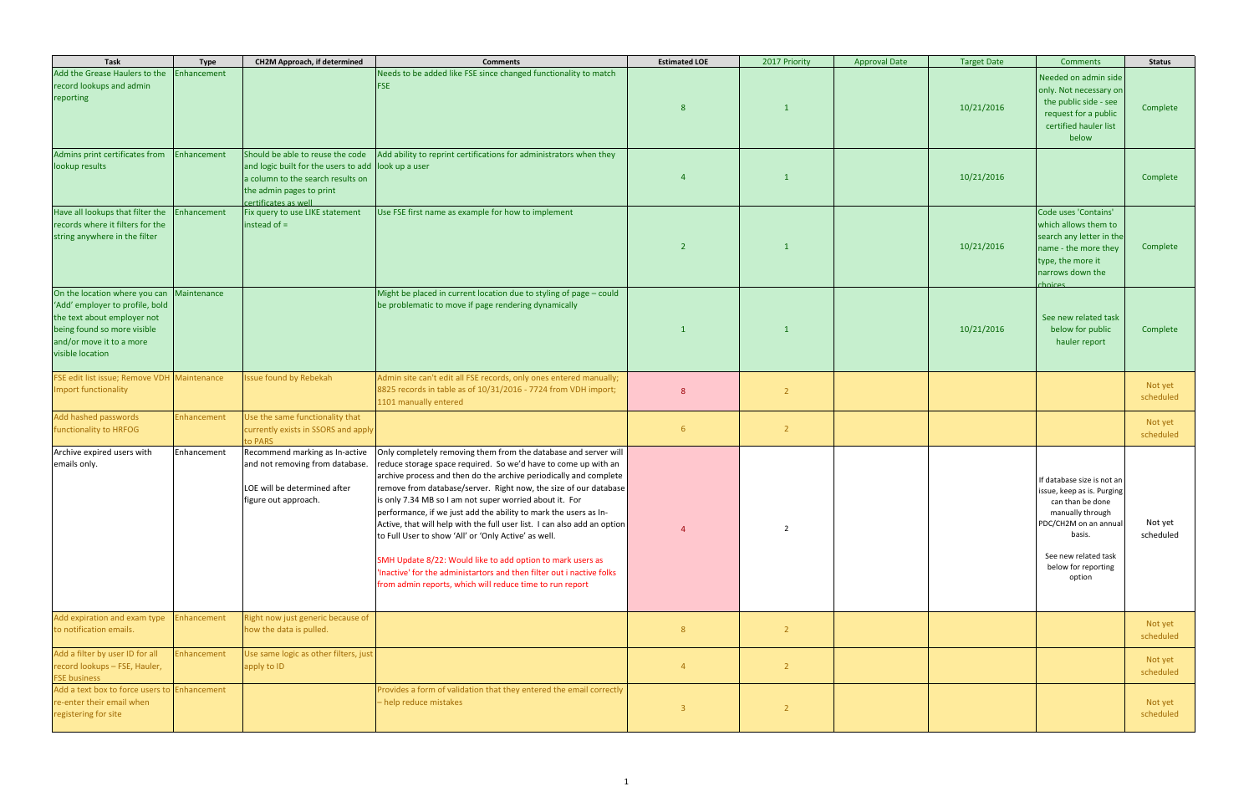| Task                                                                                                                                                                                       | <b>Type</b> | <b>CH2M Approach, if determined</b>                                                                                                                                              | <b>Comments</b>                                                                                                                                                                                                                                                                                                                                                                                                                                                                                                                                                                                                                                                                                                                                  | <b>Estimated LOE</b> | 2017 Priority  | <b>Approval Date</b> | <b>Target Date</b> | <b>Comments</b>                                                                                                                                                                              | <b>Status</b>        |
|--------------------------------------------------------------------------------------------------------------------------------------------------------------------------------------------|-------------|----------------------------------------------------------------------------------------------------------------------------------------------------------------------------------|--------------------------------------------------------------------------------------------------------------------------------------------------------------------------------------------------------------------------------------------------------------------------------------------------------------------------------------------------------------------------------------------------------------------------------------------------------------------------------------------------------------------------------------------------------------------------------------------------------------------------------------------------------------------------------------------------------------------------------------------------|----------------------|----------------|----------------------|--------------------|----------------------------------------------------------------------------------------------------------------------------------------------------------------------------------------------|----------------------|
| Add the Grease Haulers to the<br>record lookups and admin<br>reporting                                                                                                                     | Enhancement |                                                                                                                                                                                  | Needs to be added like FSE since changed functionality to match<br><b>FSE</b>                                                                                                                                                                                                                                                                                                                                                                                                                                                                                                                                                                                                                                                                    | 8                    |                |                      | 10/21/2016         | Needed on admin side<br>only. Not necessary on<br>the public side - see<br>request for a public<br>certified hauler list<br>below                                                            | Complete             |
| Admins print certificates from<br>lookup results                                                                                                                                           | Enhancement | Should be able to reuse the code<br>and logic built for the users to add look up a user<br>a column to the search results on<br>the admin pages to print<br>certificates as well | Add ability to reprint certifications for administrators when they                                                                                                                                                                                                                                                                                                                                                                                                                                                                                                                                                                                                                                                                               | $\overline{4}$       | $\overline{1}$ |                      | 10/21/2016         |                                                                                                                                                                                              | Complete             |
| Have all lookups that filter the Enhancement<br>records where it filters for the<br>string anywhere in the filter                                                                          |             | Fix query to use LIKE statement<br>instead of $=$                                                                                                                                | Use FSE first name as example for how to implement                                                                                                                                                                                                                                                                                                                                                                                                                                                                                                                                                                                                                                                                                               | $\overline{2}$       | 1              |                      | 10/21/2016         | Code uses 'Contains'<br>which allows them to<br>search any letter in the<br>name - the more they<br>type, the more it<br>narrows down the<br>choices                                         | Complete             |
| On the location where you can Maintenance<br>'Add' employer to profile, bold<br>the text about employer not<br>being found so more visible<br>and/or move it to a more<br>visible location |             |                                                                                                                                                                                  | Might be placed in current location due to styling of page - could<br>be problematic to move if page rendering dynamically                                                                                                                                                                                                                                                                                                                                                                                                                                                                                                                                                                                                                       |                      |                |                      | 10/21/2016         | See new related task<br>below for public<br>hauler report                                                                                                                                    | Complete             |
| FSE edit list issue; Remove VDH Maintenance<br><b>Import functionality</b>                                                                                                                 |             | <b>Issue found by Rebekah</b>                                                                                                                                                    | Admin site can't edit all FSE records, only ones entered manually;<br>8825 records in table as of 10/31/2016 - 7724 from VDH import;<br>1101 manually entered                                                                                                                                                                                                                                                                                                                                                                                                                                                                                                                                                                                    | 8                    | $\overline{2}$ |                      |                    |                                                                                                                                                                                              | Not yet<br>scheduled |
| Add hashed passwords<br>functionality to HRFOG                                                                                                                                             | Enhancement | Use the same functionality that<br>currently exists in SSORS and apply<br><b>O PARS</b>                                                                                          |                                                                                                                                                                                                                                                                                                                                                                                                                                                                                                                                                                                                                                                                                                                                                  | 6                    | $\overline{2}$ |                      |                    |                                                                                                                                                                                              | Not yet<br>scheduled |
| Archive expired users with<br>emails only.                                                                                                                                                 | Enhancement | Recommend marking as In-active<br>and not removing from database.<br>LOE will be determined after<br>figure out approach.                                                        | Only completely removing them from the database and server will<br>reduce storage space required. So we'd have to come up with an<br>archive process and then do the archive periodically and complete<br>remove from database/server. Right now, the size of our database<br>is only 7.34 MB so I am not super worried about it. For<br>performance, if we just add the ability to mark the users as In-<br>Active, that will help with the full user list. I can also add an option<br>to Full User to show 'All' or 'Only Active' as well.<br>SMH Update 8/22: Would like to add option to mark users as<br>'Inactive' for the administartors and then filter out i nactive folks<br>from admin reports, which will reduce time to run report | $\overline{4}$       | $\overline{2}$ |                      |                    | If database size is not an<br>issue, keep as is. Purging<br>can than be done<br>manually through<br>PDC/CH2M on an annual<br>basis.<br>See new related task<br>below for reporting<br>option | Not yet<br>scheduled |
| Add expiration and exam type<br>to notification emails.                                                                                                                                    | Enhancement | Right now just generic because of<br>how the data is pulled.                                                                                                                     |                                                                                                                                                                                                                                                                                                                                                                                                                                                                                                                                                                                                                                                                                                                                                  | 8                    | $\overline{2}$ |                      |                    |                                                                                                                                                                                              | Not yet<br>scheduled |
| Add a filter by user ID for all<br>record lookups - FSE, Hauler,<br><b>FSE business</b>                                                                                                    | Enhancement | Use same logic as other filters, just<br>apply to ID                                                                                                                             |                                                                                                                                                                                                                                                                                                                                                                                                                                                                                                                                                                                                                                                                                                                                                  | $\overline{4}$       | $\overline{2}$ |                      |                    |                                                                                                                                                                                              | Not yet<br>scheduled |
| Add a text box to force users to Enhancement<br>re-enter their email when<br>registering for site                                                                                          |             |                                                                                                                                                                                  | Provides a form of validation that they entered the email correctly<br>- help reduce mistakes                                                                                                                                                                                                                                                                                                                                                                                                                                                                                                                                                                                                                                                    | $\overline{3}$       | $\overline{2}$ |                      |                    |                                                                                                                                                                                              | Not yet<br>scheduled |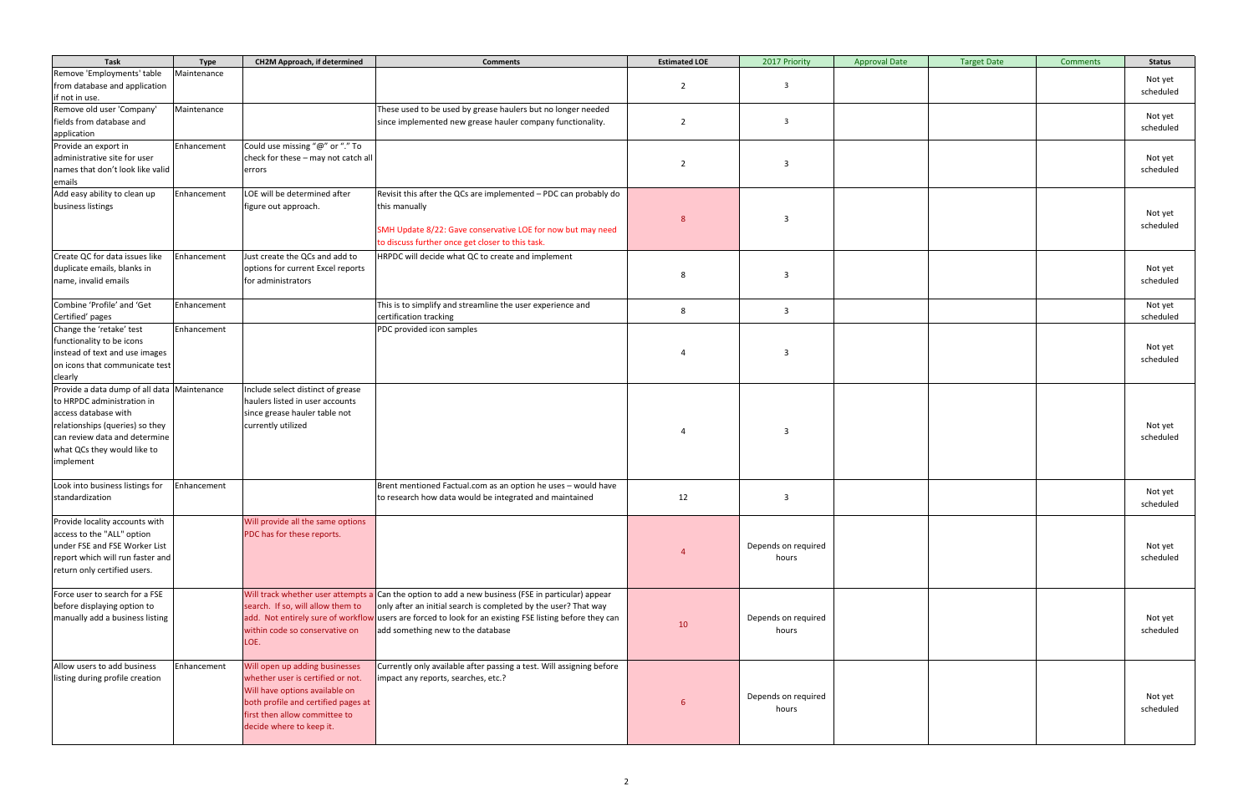| Task                                                                                                                                                                                                              | <b>Type</b> | <b>CH2M Approach, if determined</b>                                                                                                                                                                       | <b>Comments</b>                                                                                                                                                                                                                                                                                                       | <b>Estimated LOE</b> | 2017 Priority                | <b>Approval Date</b> | <b>Target Date</b> | <b>Comments</b> | <b>Status</b>        |
|-------------------------------------------------------------------------------------------------------------------------------------------------------------------------------------------------------------------|-------------|-----------------------------------------------------------------------------------------------------------------------------------------------------------------------------------------------------------|-----------------------------------------------------------------------------------------------------------------------------------------------------------------------------------------------------------------------------------------------------------------------------------------------------------------------|----------------------|------------------------------|----------------------|--------------------|-----------------|----------------------|
| Remove 'Employments' table<br>from database and application<br>if not in use.                                                                                                                                     | Maintenance |                                                                                                                                                                                                           |                                                                                                                                                                                                                                                                                                                       | $\overline{2}$       | $\overline{\mathbf{3}}$      |                      |                    |                 | Not yet<br>scheduled |
| Remove old user 'Company'<br>fields from database and<br>application                                                                                                                                              | Maintenance |                                                                                                                                                                                                           | These used to be used by grease haulers but no longer needed<br>since implemented new grease hauler company functionality.                                                                                                                                                                                            | $\overline{2}$       | $\overline{\mathbf{3}}$      |                      |                    |                 | Not yet<br>scheduled |
| Provide an export in<br>administrative site for user<br>names that don't look like valid<br>emails                                                                                                                | Enhancement | Could use missing "@" or "." To<br>check for these - may not catch all<br>errors                                                                                                                          |                                                                                                                                                                                                                                                                                                                       | $\overline{2}$       | $\overline{\mathbf{3}}$      |                      |                    |                 | Not yet<br>scheduled |
| Add easy ability to clean up<br>business listings                                                                                                                                                                 | Enhancement | LOE will be determined after<br>figure out approach.                                                                                                                                                      | Revisit this after the QCs are implemented - PDC can probably do<br>this manually<br>SMH Update 8/22: Gave conservative LOE for now but may need<br>to discuss further once get closer to this task.                                                                                                                  | 8                    | $\overline{\mathbf{3}}$      |                      |                    |                 | Not yet<br>scheduled |
| Create QC for data issues like<br>duplicate emails, blanks in<br>name, invalid emails                                                                                                                             | Enhancement | Just create the QCs and add to<br>options for current Excel reports<br>for administrators                                                                                                                 | HRPDC will decide what QC to create and implement                                                                                                                                                                                                                                                                     | 8                    | $\overline{\mathbf{3}}$      |                      |                    |                 | Not yet<br>scheduled |
| Combine 'Profile' and 'Get<br>Certified' pages                                                                                                                                                                    | Enhancement |                                                                                                                                                                                                           | This is to simplify and streamline the user experience and<br>certification tracking                                                                                                                                                                                                                                  | 8                    | $\overline{\mathbf{3}}$      |                      |                    |                 | Not yet<br>scheduled |
| Change the 'retake' test<br>functionality to be icons<br>instead of text and use images<br>on icons that communicate test<br>clearly                                                                              | Enhancement |                                                                                                                                                                                                           | PDC provided icon samples                                                                                                                                                                                                                                                                                             | Δ                    | $\overline{\mathbf{3}}$      |                      |                    |                 | Not yet<br>scheduled |
| Provide a data dump of all data Maintenance<br>to HRPDC administration in<br>access database with<br>relationships (queries) so they<br>can review data and determine<br>what QCs they would like to<br>implement |             | Include select distinct of grease<br>haulers listed in user accounts<br>since grease hauler table not<br>currently utilized                                                                               |                                                                                                                                                                                                                                                                                                                       |                      | $\overline{\mathbf{3}}$      |                      |                    |                 | Not yet<br>scheduled |
| Look into business listings for<br>standardization                                                                                                                                                                | Enhancement |                                                                                                                                                                                                           | Brent mentioned Factual.com as an option he uses - would have<br>to research how data would be integrated and maintained                                                                                                                                                                                              | 12                   | $\overline{\mathbf{3}}$      |                      |                    |                 | Not yet<br>scheduled |
| Provide locality accounts with<br>access to the "ALL" option<br>under FSE and FSE Worker List<br>report which will run faster and<br>return only certified users.                                                 |             | Will provide all the same options<br>PDC has for these reports.                                                                                                                                           |                                                                                                                                                                                                                                                                                                                       |                      | Depends on required<br>hours |                      |                    |                 | Not yet<br>scheduled |
| Force user to search for a FSE<br>before displaying option to<br>manually add a business listing                                                                                                                  |             | search. If so, will allow them to<br>within code so conservative on<br>LOE.                                                                                                                               | Will track whether user attempts a Can the option to add a new business (FSE in particular) appear<br>only after an initial search is completed by the user? That way<br>add. Not entirely sure of workflow users are forced to look for an existing FSE listing before they can<br>add something new to the database | 10                   | Depends on required<br>hours |                      |                    |                 | Not yet<br>scheduled |
| Allow users to add business<br>listing during profile creation                                                                                                                                                    | Enhancement | Will open up adding businesses<br>whether user is certified or not.<br>Will have options available on<br>both profile and certified pages at<br>first then allow committee to<br>decide where to keep it. | Currently only available after passing a test. Will assigning before<br>impact any reports, searches, etc.?                                                                                                                                                                                                           | $6 \overline{6}$     | Depends on required<br>hours |                      |                    |                 | Not yet<br>scheduled |